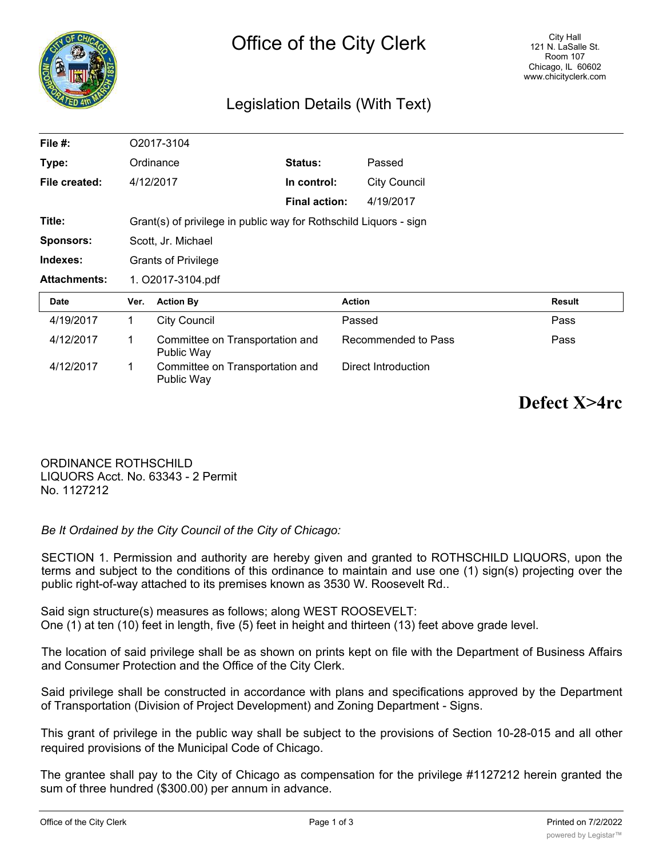

# Legislation Details (With Text)

| File $#$ :          |                                                                   | O2017-3104                                    |                      |                     |               |
|---------------------|-------------------------------------------------------------------|-----------------------------------------------|----------------------|---------------------|---------------|
| Type:               | Ordinance                                                         |                                               | Status:              | Passed              |               |
| File created:       |                                                                   | 4/12/2017                                     | In control:          | <b>City Council</b> |               |
|                     |                                                                   |                                               | <b>Final action:</b> | 4/19/2017           |               |
| Title:              | Grant(s) of privilege in public way for Rothschild Liquors - sign |                                               |                      |                     |               |
| <b>Sponsors:</b>    | Scott, Jr. Michael                                                |                                               |                      |                     |               |
| Indexes:            | <b>Grants of Privilege</b>                                        |                                               |                      |                     |               |
| <b>Attachments:</b> | 1. O2017-3104.pdf                                                 |                                               |                      |                     |               |
| Date                | Ver.                                                              | <b>Action By</b>                              |                      | <b>Action</b>       | <b>Result</b> |
| 4/19/2017           | 1                                                                 | <b>City Council</b>                           |                      | Passed              | Pass          |
| 4/12/2017           | 1                                                                 | Committee on Transportation and<br>Public Way |                      | Recommended to Pass | Pass          |
| 4/12/2017           | 1                                                                 | Committee on Transportation and<br>Public Way |                      | Direct Introduction |               |

**Defect X>4rc**

ORDINANCE ROTHSCHILD LIQUORS Acct. No. 63343 - 2 Permit No. 1127212

*Be It Ordained by the City Council of the City of Chicago:*

SECTION 1. Permission and authority are hereby given and granted to ROTHSCHILD LIQUORS, upon the terms and subject to the conditions of this ordinance to maintain and use one (1) sign(s) projecting over the public right-of-way attached to its premises known as 3530 W. Roosevelt Rd..

Said sign structure(s) measures as follows; along WEST ROOSEVELT: One (1) at ten (10) feet in length, five (5) feet in height and thirteen (13) feet above grade level.

The location of said privilege shall be as shown on prints kept on file with the Department of Business Affairs and Consumer Protection and the Office of the City Clerk.

Said privilege shall be constructed in accordance with plans and specifications approved by the Department of Transportation (Division of Project Development) and Zoning Department - Signs.

This grant of privilege in the public way shall be subject to the provisions of Section 10-28-015 and all other required provisions of the Municipal Code of Chicago.

The grantee shall pay to the City of Chicago as compensation for the privilege #1127212 herein granted the sum of three hundred (\$300.00) per annum in advance.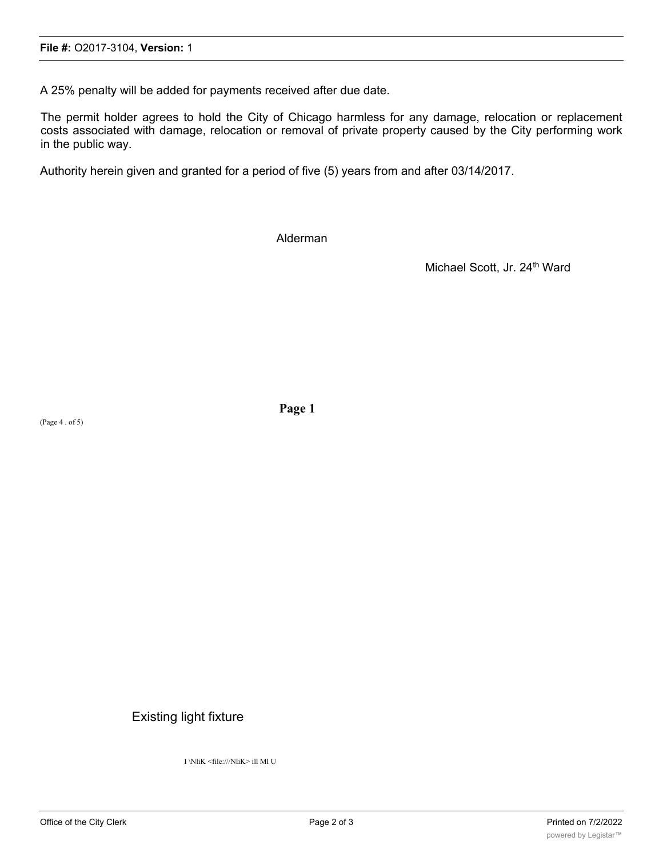A 25% penalty will be added for payments received after due date.

The permit holder agrees to hold the City of Chicago harmless for any damage, relocation or replacement costs associated with damage, relocation or removal of private property caused by the City performing work in the public way.

Authority herein given and granted for a period of five (5) years from and after 03/14/2017.

Alderman

Michael Scott, Jr. 24<sup>th</sup> Ward

(Page 4 . of 5)

**Page 1**

## Existing light fixture

I \NliK <file:///NliK> ill Ml U